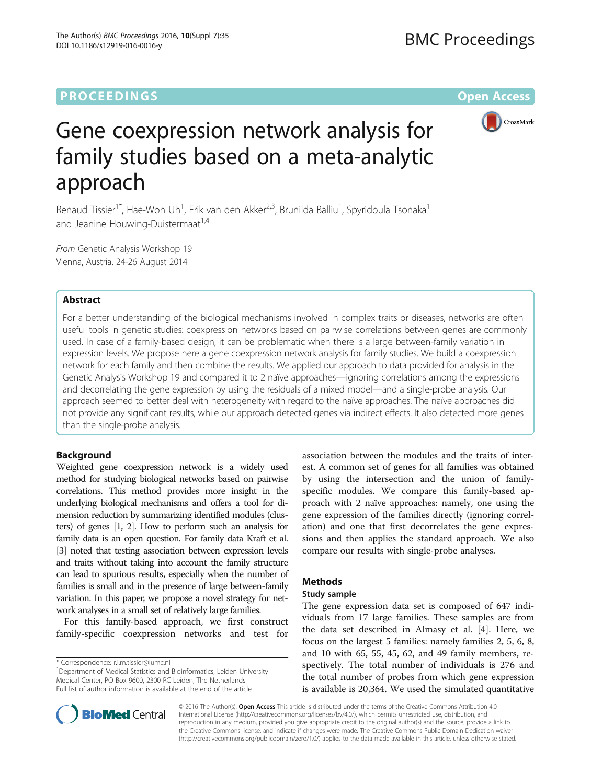# **PROCEEDINGS STATE ACCESS CONSUMING S** Open Access



# Gene coexpression network analysis for family studies based on a meta-analytic approach

Renaud Tissier<sup>1\*</sup>, Hae-Won Uh<sup>1</sup>, Erik van den Akker<sup>2,3</sup>, Brunilda Balliu<sup>1</sup>, Spyridoula Tsonaka<sup>1</sup> and Jeanine Houwing-Duistermaat $1.4$ 

From Genetic Analysis Workshop 19 Vienna, Austria. 24-26 August 2014

# Abstract

For a better understanding of the biological mechanisms involved in complex traits or diseases, networks are often useful tools in genetic studies: coexpression networks based on pairwise correlations between genes are commonly used. In case of a family-based design, it can be problematic when there is a large between-family variation in expression levels. We propose here a gene coexpression network analysis for family studies. We build a coexpression network for each family and then combine the results. We applied our approach to data provided for analysis in the Genetic Analysis Workshop 19 and compared it to 2 naïve approaches—ignoring correlations among the expressions and decorrelating the gene expression by using the residuals of a mixed model—and a single-probe analysis. Our approach seemed to better deal with heterogeneity with regard to the naïve approaches. The naïve approaches did not provide any significant results, while our approach detected genes via indirect effects. It also detected more genes than the single-probe analysis.

# Background

Weighted gene coexpression network is a widely used method for studying biological networks based on pairwise correlations. This method provides more insight in the underlying biological mechanisms and offers a tool for dimension reduction by summarizing identified modules (clusters) of genes [\[1, 2\]](#page-4-0). How to perform such an analysis for family data is an open question. For family data Kraft et al. [[3](#page-4-0)] noted that testing association between expression levels and traits without taking into account the family structure can lead to spurious results, especially when the number of families is small and in the presence of large between-family variation. In this paper, we propose a novel strategy for network analyses in a small set of relatively large families.

For this family-based approach, we first construct family-specific coexpression networks and test for

\* Correspondence: [r.l.m.tissier@lumc.nl](mailto:r.l.m.tissier@lumc.nl) <sup>1</sup>

<sup>1</sup>Department of Medical Statistics and Bioinformatics, Leiden University Medical Center, PO Box 9600, 2300 RC Leiden, The Netherlands Full list of author information is available at the end of the article

association between the modules and the traits of interest. A common set of genes for all families was obtained by using the intersection and the union of familyspecific modules. We compare this family-based approach with 2 naïve approaches: namely, one using the gene expression of the families directly (ignoring correlation) and one that first decorrelates the gene expressions and then applies the standard approach. We also compare our results with single-probe analyses.

# Methods

# Study sample

The gene expression data set is composed of 647 individuals from 17 large families. These samples are from the data set described in Almasy et al. [[4](#page-4-0)]. Here, we focus on the largest 5 families: namely families 2, 5, 6, 8, and 10 with 65, 55, 45, 62, and 49 family members, respectively. The total number of individuals is 276 and the total number of probes from which gene expression is available is 20,364. We used the simulated quantitative



© 2016 The Author(s). Open Access This article is distributed under the terms of the Creative Commons Attribution 4.0 International License [\(http://creativecommons.org/licenses/by/4.0/](http://creativecommons.org/licenses/by/4.0/)), which permits unrestricted use, distribution, and reproduction in any medium, provided you give appropriate credit to the original author(s) and the source, provide a link to the Creative Commons license, and indicate if changes were made. The Creative Commons Public Domain Dedication waiver [\(http://creativecommons.org/publicdomain/zero/1.0/](http://creativecommons.org/publicdomain/zero/1.0/)) applies to the data made available in this article, unless otherwise stated.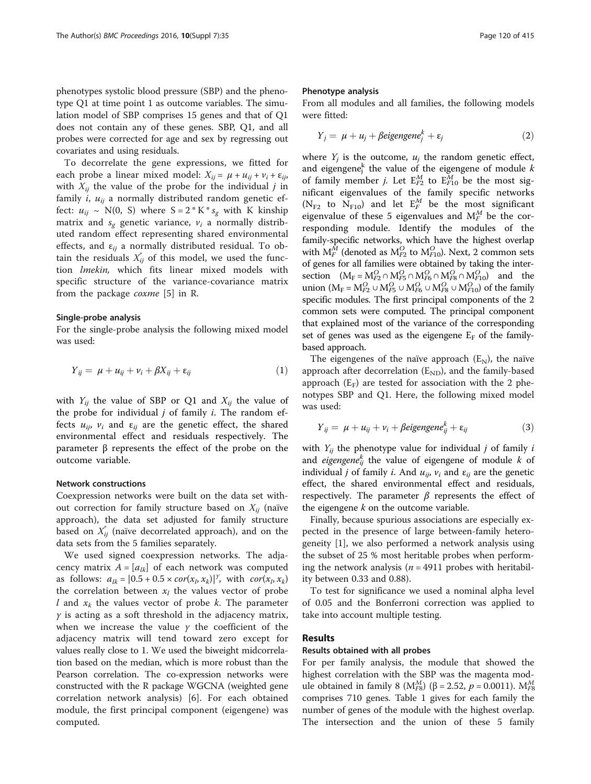phenotypes systolic blood pressure (SBP) and the phenotype Q1 at time point 1 as outcome variables. The simulation model of SBP comprises 15 genes and that of Q1 does not contain any of these genes. SBP, Q1, and all probes were corrected for age and sex by regressing out covariates and using residuals.

To decorrelate the gene expressions, we fitted for each probe a linear mixed model:  $X_{ii} = \mu + u_{ii} + v_i + \varepsilon_{ii}$ with  $X_{ii}$  the value of the probe for the individual j in family i,  $u_{ii}$  a normally distributed random genetic effect:  $u_{ij} \sim N(0, S)$  where  $S = 2 * K * s_{\varrho}$  with K kinship matrix and  $s_{\sigma}$  genetic variance,  $v_i$  a normally distributed random effect representing shared environmental effects, and  $\varepsilon_{ii}$  a normally distributed residual. To obtain the residuals  $X_{ij}^*$  of this model, we used the func-<br>tion *luvekin* which fits linear mixed models with tion lmekin, which fits linear mixed models with specific structure of the variance-covariance matrix from the package coxme [[5\]](#page-4-0) in R.

## Single-probe analysis

For the single-probe analysis the following mixed model was used:

$$
Y_{ij} = \mu + u_{ij} + v_i + \beta X_{ij} + \varepsilon_{ij}
$$
 (1)

with  $Y_{ii}$  the value of SBP or Q1 and  $X_{ii}$  the value of the probe for individual  $j$  of family  $i$ . The random effects  $u_{ij}$ ,  $v_i$  and  $\varepsilon_{ij}$  are the genetic effect, the shared environmental effect and residuals respectively. The parameter β represents the effect of the probe on the outcome variable.

# Network constructions

Coexpression networks were built on the data set without correction for family structure based on  $X_{ii}$  (naïve approach), the data set adjusted for family structure based on  $X_{ij}^*$  (naïve decorrelated approach), and on the data sets from the 5 families separately data sets from the 5 families separately.

We used signed coexpression networks. The adjacency matrix  $A = [a_{lk}]$  of each network was computed as follows:  $a_{lk} = [0.5 + 0.5 \times cor(x_l, x_k)]^{\gamma}$ , with  $cor(x_l, x_k)$ <br>the correlation between x, the values vector of probe the correlation between  $x_l$  the values vector of probe l and  $x_k$  the values vector of probe k. The parameter  $\gamma$  is acting as a soft threshold in the adjacency matrix, when we increase the value  $\gamma$  the coefficient of the adjacency matrix will tend toward zero except for values really close to 1. We used the biweight midcorrelation based on the median, which is more robust than the Pearson correlation. The co-expression networks were constructed with the R package WGCNA (weighted gene correlation network analysis) [[6\]](#page-4-0). For each obtained module, the first principal component (eigengene) was computed.

## Phenotype analysis

From all modules and all families, the following models were fitted:

$$
Y_j = \mu + u_j + \beta eigengene_j^k + \varepsilon_j \tag{2}
$$

where  $Y_i$  is the outcome,  $u_i$  the random genetic effect, and eigengene<sup>k</sup> the value of the eigengene of module k<br>of family member i. Let  $F^M$  to  $F^M$ , be the most sigof family member *j*. Let  $E_{T2}^{M}$  to  $E_{T10}^{M}$  be the most sig-<br>nificant eigenvalues of the family specific networks nificant eigenvalues of the family specific networks  $(N_{F2}$  to  $N_{F10}$ ) and let  $E_T^M$  be the most significant<br>eigenvalue of these 5 eigenvalues and  $M^M$  be the sex eigenvalue of these 5 eigenvalues and  $M_f^M$  be the cor-<br>recoording module. Identify the modules of the responding module. Identify the modules of the family-specific networks, which have the highest overlap with  $M_f^M$  (denoted as  $M_{F2}^O$  to  $M_{F10}^O$ ). Next, 2 common sets<br>of gapes for all families were obtained by taking the interof genes for all families were obtained by taking the intersection  $(M_F = M_{F2}^O \cap M_{F5}^O \cap M_{F6}^O \cap M_{F8}^O \cap M_{F10}^O)$  and the union  $(M_F = M_{F2}^O \cup M_{F5}^O \cup M_{FG}^O \cup M_{F8}^O \cup M_{F10}^O)$  of the family<br>specific modules. The first principal components of the 2 specific modules. The first principal components of the 2 common sets were computed. The principal component that explained most of the variance of the corresponding set of genes was used as the eigengene  $E_F$  of the familybased approach.

The eigengenes of the naïve approach  $(E<sub>N</sub>)$ , the naïve approach after decorrelation  $(E_{ND})$ , and the family-based approach  $(E_F)$  are tested for association with the 2 phenotypes SBP and Q1. Here, the following mixed model was used:

$$
Y_{ij} = \mu + u_{ij} + v_i + \beta \text{eigengene}_{ij}^k + \varepsilon_{ij}
$$
 (3)

with  $Y_{ii}$  the phenotype value for individual j of family i and *eigengene*<sup>k</sup> the value of eigengene of module k of individual i of family i. And  $u_{xx}$  and supersection individual *j* of family *i*. And  $u_{ij}$ ,  $v_i$  and  $\varepsilon_{ij}$  are the genetic effect, the shared environmental effect and residuals, respectively. The parameter  $β$  represents the effect of the eigengene  $k$  on the outcome variable.

Finally, because spurious associations are especially expected in the presence of large between-family heterogeneity [[1\]](#page-4-0), we also performed a network analysis using the subset of 25 % most heritable probes when performing the network analysis ( $n = 4911$  probes with heritability between 0.33 and 0.88).

To test for significance we used a nominal alpha level of 0.05 and the Bonferroni correction was applied to take into account multiple testing.

# Results

#### Results obtained with all probes

For per family analysis, the module that showed the highest correlation with the SBP was the magenta module obtained in family 8 (M<sup>*M*3</sup>)</sub> (β = 2.52, *p* = 0.0011). M<sup>*M*<sub>*IS*</sub> comprises 710 genes. Table 1 gives for each family the</sup> comprises 710 genes. Table [1](#page-2-0) gives for each family the number of genes of the module with the highest overlap. The intersection and the union of these 5 family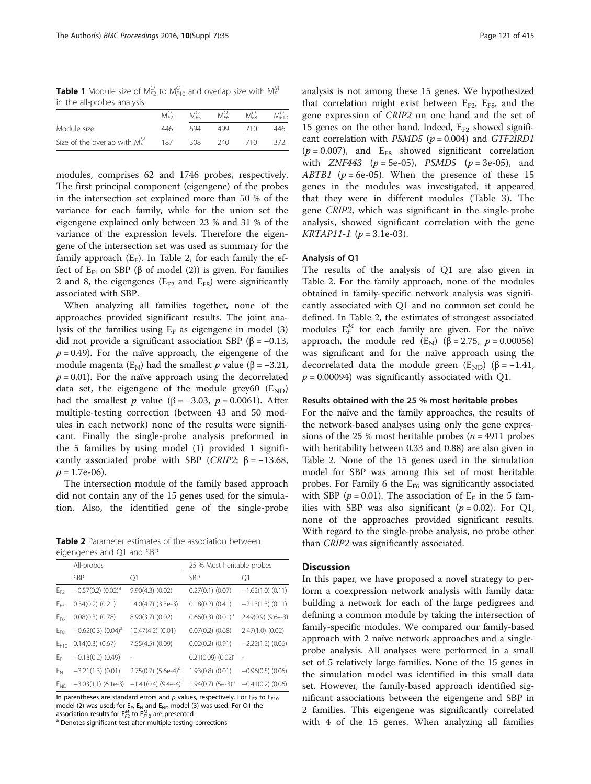<span id="page-2-0"></span>**Table 1** Module size of M $_{F2}^O$  to M $_{F10}^O$  and overlap size with M $_{F}^M$ in the all-probes analysis

|                                  |     | $M_{FS}^O$ | $M_{\text{FG}}^{\text{U}}$ | $M_{\text{FB}}^{\text{O}}$ | M <sup>O</sup> <sub>FIG</sub> |
|----------------------------------|-----|------------|----------------------------|----------------------------|-------------------------------|
| Module size                      | 446 | 694        | 499                        | 710                        | 446                           |
| Size of the overlap with $M_F^M$ | 187 | 308        | 240                        | 710                        | 372                           |

modules, comprises 62 and 1746 probes, respectively. The first principal component (eigengene) of the probes in the intersection set explained more than 50 % of the variance for each family, while for the union set the eigengene explained only between 23 % and 31 % of the variance of the expression levels. Therefore the eigengene of the intersection set was used as summary for the family approach  $(E_F)$ . In Table 2, for each family the effect of  $E_{Fi}$  on SBP ( $\beta$  of model (2)) is given. For families 2 and 8, the eigengenes ( $E_{F2}$  and  $E_{F8}$ ) were significantly associated with SBP.

When analyzing all families together, none of the approaches provided significant results. The joint analysis of the families using  $E_F$  as eigengene in model (3) did not provide a significant association SBP (β =  $-0.13$ ,  $p = 0.49$ ). For the naïve approach, the eigengene of the module magenta ( $E_N$ ) had the smallest p value ( $\beta = -3.21$ ,  $p = 0.01$ ). For the naïve approach using the decorrelated data set, the eigengene of the module grey60  $(E_{ND})$ had the smallest *p* value (β = -3.03, *p* = 0.0061). After multiple-testing correction (between 43 and 50 modules in each network) none of the results were significant. Finally the single-probe analysis preformed in the 5 families by using model (1) provided 1 significantly associated probe with SBP (CRIP2;  $\beta = -13.68$ ,  $p = 1.7e-06$ .

The intersection module of the family based approach did not contain any of the 15 genes used for the simulation. Also, the identified gene of the single-probe

Table 2 Parameter estimates of the association between eigengenes and Q1 and SBP

|                | All-probes              |                                                          | 25 % Most heritable probes |                     |  |  |
|----------------|-------------------------|----------------------------------------------------------|----------------------------|---------------------|--|--|
|                | <b>SBP</b>              | Q1                                                       | <b>SBP</b>                 | Q1                  |  |  |
| $E_{F2}$       | $-0.57(0.2)$ $(0.02)^d$ | $9.90(4.3)$ $(0.02)$                                     | $0.27(0.1)$ $(0.07)$       | $-1.62(1.0)$ (0.11) |  |  |
| $E_{FS}$       | $0.34(0.2)$ $(0.21)$    | 14.0(4.7) (3.3e-3)                                       | $0.18(0.2)$ $(0.41)$       | $-2.13(1.3)$ (0.11) |  |  |
| $E_{F6}$       | $0.08(0.3)$ $(0.78)$    | $8.90(3.7)$ $(0.02)$                                     | $0.66(0.3)$ $(0.01)^{d}$   | 2.49(0.9) (9.6e-3)  |  |  |
| $E_{FS}$       | $-0.62(0.3)$ $(0.04)^d$ | 10.47(4.2) (0.01)                                        | $0.07(0.2)$ $(0.68)$       | $2.47(1.0)$ (0.02)  |  |  |
| $E_{F10}$      | $0.14(0.3)$ $(0.67)$    | $7.55(4.5)$ $(0.09)$                                     | $0.02(0.2)$ $(0.91)$       | $-2.22(1.2)$ (0.06) |  |  |
| E <sub>F</sub> | $-0.13(0.2)$ (0.49)     |                                                          | $0.21(0.09)(0.02)^{a}$     |                     |  |  |
| $E_N$          | $-3.21(1.3)$ (0.01)     | $2.75(0.7)$ (5.6e-4) <sup>a</sup>                        | $1.93(0.8)$ $(0.01)$       | $-0.96(0.5)$ (0.06) |  |  |
| $E_{ND}$       |                         | $-3.03(1.1)$ (6.1e-3) $-1.41(0.4)$ (9.4e-4) <sup>a</sup> | 1.94(0.7) $(5e-3)^a$       | $-0.41(0.2)$ (0.06) |  |  |

In parentheses are standard errors and  $p$  values, respectively. For  $E_{F2}$  to  $E_{F10}$ model (2) was used; for  $E_F$ ,  $E_N$  and  $E_{ND}$  model (3) was used. For Q1 the association results for  $\mathsf{E}^\mathsf{M}_{\mathsf{F2}}$  to  $\mathsf{E}^\mathsf{M}_{\mathsf{F10}}$ 

<sup>a</sup> Denotes significant test after multiple testing corrections

analysis is not among these 15 genes. We hypothesized that correlation might exist between  $E_{F2}$ ,  $E_{F8}$ , and the gene expression of CRIP2 on one hand and the set of 15 genes on the other hand. Indeed,  $E_{F2}$  showed significant correlation with  $PSMD5$  ( $p = 0.004$ ) and GTF2IRD1  $(p = 0.007)$ , and  $E_{F8}$  showed significant correlation with *ZNF443* ( $p = 5e-05$ ), *PSMD5* ( $p = 3e-05$ ), and ABTB1 ( $p = 6e-05$ ). When the presence of these 15 genes in the modules was investigated, it appeared that they were in different modules (Table [3\)](#page-3-0). The gene CRIP2, which was significant in the single-probe analysis, showed significant correlation with the gene  $KRTAPI1-1 (p = 3.1e-03).$ 

# Analysis of Q1

The results of the analysis of Q1 are also given in Table 2. For the family approach, none of the modules obtained in family-specific network analysis was significantly associated with Q1 and no common set could be defined. In Table 2, the estimates of strongest associated modules  $E_T^M$  for each family are given. For the naïve<br>approach the module red  $(E_1)(B_2 275, n=0.00056)$ approach, the module red  $(E<sub>N</sub>)$  ( $\beta = 2.75$ ,  $p = 0.00056$ ) was significant and for the naïve approach using the decorrelated data the module green  $(E_{ND})$  ( $\beta = -1.41$ ,  $p = 0.00094$ ) was significantly associated with Q1.

# Results obtained with the 25 % most heritable probes

For the naïve and the family approaches, the results of the network-based analyses using only the gene expressions of the 25 % most heritable probes ( $n = 4911$  probes with heritability between 0.33 and 0.88) are also given in Table 2. None of the 15 genes used in the simulation model for SBP was among this set of most heritable probes. For Family 6 the  $E_{F6}$  was significantly associated with SBP ( $p = 0.01$ ). The association of  $E_F$  in the 5 families with SBP was also significant  $(p = 0.02)$ . For Q1, none of the approaches provided significant results. With regard to the single-probe analysis, no probe other than CRIP2 was significantly associated.

# **Discussion**

In this paper, we have proposed a novel strategy to perform a coexpression network analysis with family data: building a network for each of the large pedigrees and defining a common module by taking the intersection of family-specific modules. We compared our family-based approach with 2 naïve network approaches and a singleprobe analysis. All analyses were performed in a small set of 5 relatively large families. None of the 15 genes in the simulation model was identified in this small data set. However, the family-based approach identified significant associations between the eigengene and SBP in 2 families. This eigengene was significantly correlated with 4 of the 15 genes. When analyzing all families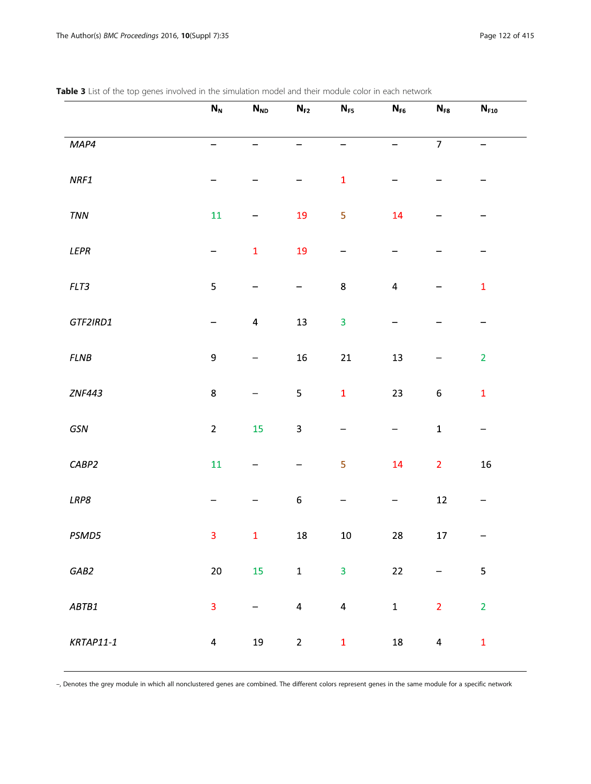|                              | $\mathsf{N}_{\mathsf{N}}$ | $\mathsf{N}_{\mathsf{ND}}$ | $N_{F2}$         | $\mathsf{N}_{\mathsf{F5}}$ | $\mathsf{N}_{\mathsf{F6}}$ | $\mathsf{N}_{\texttt{F8}}$ | $\mathsf{N}_{\texttt{F10}}$ |
|------------------------------|---------------------------|----------------------------|------------------|----------------------------|----------------------------|----------------------------|-----------------------------|
| MAP4                         | —                         |                            |                  |                            | -                          | $\overline{7}$             |                             |
| $\ensuremath{\mathit{NRF1}}$ |                           |                            |                  | $\mathbf 1$                |                            |                            |                             |
| $\tau_{NN}$                  | $11\,$                    |                            | 19               | 5                          | 14                         |                            |                             |
| LEPR                         | -                         | $\mathbf 1$                | 19               | —                          |                            |                            |                             |
| FLT3                         | 5                         | -                          | —                | $\bf 8$                    | $\pmb{4}$                  |                            | $\mathbf 1$                 |
| GTF2IRD1                     | —                         | $\pmb{4}$                  | $13\,$           | 3                          |                            |                            | —                           |
| $FLNB$                       | $\mathsf 9$               |                            | ${\bf 16}$       | ${\bf 21}$                 | $13\,$                     |                            | $\overline{2}$              |
| <b>ZNF443</b>                | $\bf 8$                   |                            | 5                | $\mathbf{1}$               | 23                         | $\boldsymbol{6}$           | $\mathbf 1$                 |
| $\sqrt{GSN}$                 | $\overline{2}$            | 15                         | 3                |                            | -                          | $\mathbf 1$                | $\qquad \qquad -$           |
| CABP2                        | $11\,$                    |                            |                  | 5                          | 14                         | $\overline{2}$             | ${\bf 16}$                  |
| LRP8                         |                           |                            | $\boldsymbol{6}$ |                            | —                          | $12\,$                     | -                           |
| PSMD5                        | 3                         | $\mathbf 1$                | ${\bf 18}$       | $10\,$                     | ${\bf 28}$                 | $17\,$                     |                             |
| GAB2                         | 20 <sub>2</sub>           | 15                         | $\mathbf{1}$     | $\overline{3}$             | 22                         | $\overline{\phantom{0}}$   | $\overline{\mathbf{5}}$     |
| ABTB1                        | 3                         | -                          | $\overline{4}$   | $\overline{4}$             | $\mathbf 1$                | $\overline{2}$             | $\overline{2}$              |
| $KRTAP11-1$                  | $\overline{\mathbf{4}}$   | $19\,$                     | $\mathbf 2$      | $\mathbf 1$                | 18                         | $\overline{a}$             | $\mathbf 1$                 |

<span id="page-3-0"></span>Table 3 List of the top genes involved in the simulation model and their module color in each network

–, Denotes the grey module in which all nonclustered genes are combined. The different colors represent genes in the same module for a specific network